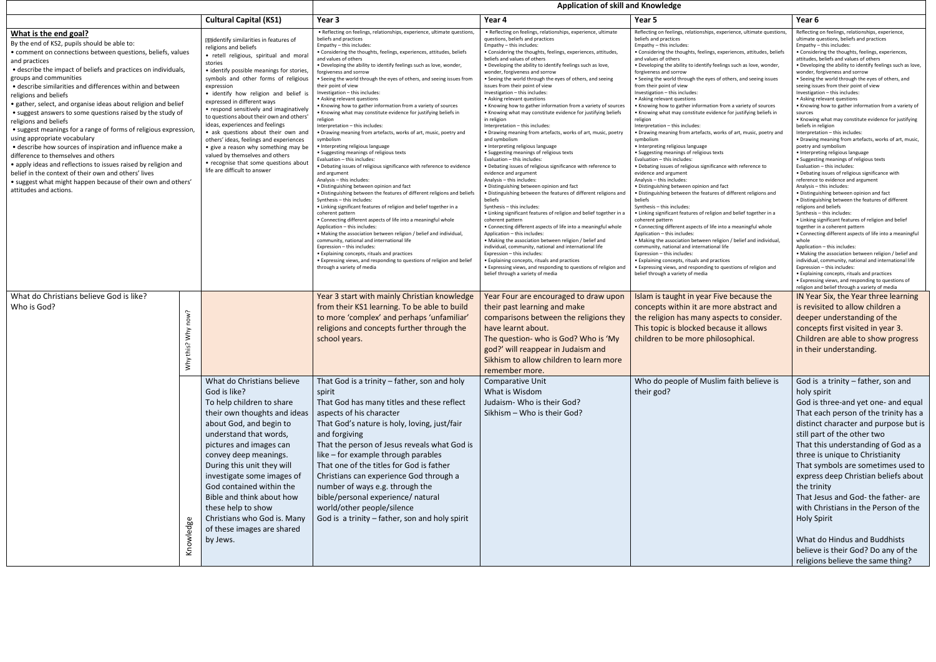|                                                                                                                                                                                                                                                                                                                                                                                                                                                                                                                                                                                                                                                                                                                                                                                                                                                                                                                                                                           |                           |                                                                                                                                                                                                                                                                                                                                                                                                                                                                                                                                                                                                                                                                   | <b>Application of skill and Knowledge</b>                                                                                                                                                                                                                                                                                                                                                                                                                                                                                                                                                                                                                                                                                                                                                                                                                                                                                                                                                                                                                                                                                                                                                                                                                                                                                                                                                                                                                                                                                                                                                                                                                                                                                    |                                                                                                                                                                                                                                                                                                                                                                                                                                                                                                                                                                                                                                                                                                                                                                                                                                                                                                                                                                                                                                                                                                                                                                                                                                                                                                                                                                                                                                                                                                                                                                                                                                                                                                                          |                                                                                                                                                                                                                                                                                                                                                                                                                                                                                                                                                                                                                                                                                                                                                                                                                                                                                                                                                                                                                                                                                                                                                                                                                                                                                                                                                                                                                                                                                                                                                                                                                                                                                                                          |                                                                                                                                                                                                                                                                                                                                                                                                                                                                                                                                                                                                                                                                                                                                                                                                                                                                                                                                                                                                                                                                                                                                                                                                                                                                                                                                                                                                                                                                                                                                                                                                                                                                                                                             |
|---------------------------------------------------------------------------------------------------------------------------------------------------------------------------------------------------------------------------------------------------------------------------------------------------------------------------------------------------------------------------------------------------------------------------------------------------------------------------------------------------------------------------------------------------------------------------------------------------------------------------------------------------------------------------------------------------------------------------------------------------------------------------------------------------------------------------------------------------------------------------------------------------------------------------------------------------------------------------|---------------------------|-------------------------------------------------------------------------------------------------------------------------------------------------------------------------------------------------------------------------------------------------------------------------------------------------------------------------------------------------------------------------------------------------------------------------------------------------------------------------------------------------------------------------------------------------------------------------------------------------------------------------------------------------------------------|------------------------------------------------------------------------------------------------------------------------------------------------------------------------------------------------------------------------------------------------------------------------------------------------------------------------------------------------------------------------------------------------------------------------------------------------------------------------------------------------------------------------------------------------------------------------------------------------------------------------------------------------------------------------------------------------------------------------------------------------------------------------------------------------------------------------------------------------------------------------------------------------------------------------------------------------------------------------------------------------------------------------------------------------------------------------------------------------------------------------------------------------------------------------------------------------------------------------------------------------------------------------------------------------------------------------------------------------------------------------------------------------------------------------------------------------------------------------------------------------------------------------------------------------------------------------------------------------------------------------------------------------------------------------------------------------------------------------------|--------------------------------------------------------------------------------------------------------------------------------------------------------------------------------------------------------------------------------------------------------------------------------------------------------------------------------------------------------------------------------------------------------------------------------------------------------------------------------------------------------------------------------------------------------------------------------------------------------------------------------------------------------------------------------------------------------------------------------------------------------------------------------------------------------------------------------------------------------------------------------------------------------------------------------------------------------------------------------------------------------------------------------------------------------------------------------------------------------------------------------------------------------------------------------------------------------------------------------------------------------------------------------------------------------------------------------------------------------------------------------------------------------------------------------------------------------------------------------------------------------------------------------------------------------------------------------------------------------------------------------------------------------------------------------------------------------------------------|--------------------------------------------------------------------------------------------------------------------------------------------------------------------------------------------------------------------------------------------------------------------------------------------------------------------------------------------------------------------------------------------------------------------------------------------------------------------------------------------------------------------------------------------------------------------------------------------------------------------------------------------------------------------------------------------------------------------------------------------------------------------------------------------------------------------------------------------------------------------------------------------------------------------------------------------------------------------------------------------------------------------------------------------------------------------------------------------------------------------------------------------------------------------------------------------------------------------------------------------------------------------------------------------------------------------------------------------------------------------------------------------------------------------------------------------------------------------------------------------------------------------------------------------------------------------------------------------------------------------------------------------------------------------------------------------------------------------------|-----------------------------------------------------------------------------------------------------------------------------------------------------------------------------------------------------------------------------------------------------------------------------------------------------------------------------------------------------------------------------------------------------------------------------------------------------------------------------------------------------------------------------------------------------------------------------------------------------------------------------------------------------------------------------------------------------------------------------------------------------------------------------------------------------------------------------------------------------------------------------------------------------------------------------------------------------------------------------------------------------------------------------------------------------------------------------------------------------------------------------------------------------------------------------------------------------------------------------------------------------------------------------------------------------------------------------------------------------------------------------------------------------------------------------------------------------------------------------------------------------------------------------------------------------------------------------------------------------------------------------------------------------------------------------------------------------------------------------|
|                                                                                                                                                                                                                                                                                                                                                                                                                                                                                                                                                                                                                                                                                                                                                                                                                                                                                                                                                                           |                           | <b>Cultural Capital (KS1)</b>                                                                                                                                                                                                                                                                                                                                                                                                                                                                                                                                                                                                                                     | Year 3                                                                                                                                                                                                                                                                                                                                                                                                                                                                                                                                                                                                                                                                                                                                                                                                                                                                                                                                                                                                                                                                                                                                                                                                                                                                                                                                                                                                                                                                                                                                                                                                                                                                                                                       | Year 4                                                                                                                                                                                                                                                                                                                                                                                                                                                                                                                                                                                                                                                                                                                                                                                                                                                                                                                                                                                                                                                                                                                                                                                                                                                                                                                                                                                                                                                                                                                                                                                                                                                                                                                   | Year 5                                                                                                                                                                                                                                                                                                                                                                                                                                                                                                                                                                                                                                                                                                                                                                                                                                                                                                                                                                                                                                                                                                                                                                                                                                                                                                                                                                                                                                                                                                                                                                                                                                                                                                                   | Year 6                                                                                                                                                                                                                                                                                                                                                                                                                                                                                                                                                                                                                                                                                                                                                                                                                                                                                                                                                                                                                                                                                                                                                                                                                                                                                                                                                                                                                                                                                                                                                                                                                                                                                                                      |
| What is the end goal?<br>By the end of KS2, pupils should be able to:<br>• comment on connections between questions, beliefs, values<br>and practices<br>• describe the impact of beliefs and practices on individuals,<br>groups and communities<br>• describe similarities and differences within and between<br>religions and beliefs<br>• gather, select, and organise ideas about religion and belief<br>• suggest answers to some questions raised by the study of<br>religions and beliefs<br>• suggest meanings for a range of forms of religious expression,<br>using appropriate vocabulary<br>• describe how sources of inspiration and influence make a<br>difference to themselves and others<br>• apply ideas and reflections to issues raised by religion and<br>belief in the context of their own and others' lives<br>• suggest what might happen because of their own and others'<br>attitudes and actions.<br>What do Christians believe God is like? |                           | <b>Midentify similarities in features of</b><br>religions and beliefs<br>• retell religious, spiritual and mora<br>stories<br>· identify possible meanings for stories,<br>symbols and other forms of religious<br>expression<br>· identify how religion and belief<br>expressed in different ways<br>• respond sensitively and imaginatively<br>to questions about their own and others<br>ideas, experiences and feelings<br>• ask questions about their own and<br>others' ideas, feelings and experiences<br>• give a reason why something may be<br>valued by themselves and others<br>• recognise that some questions about<br>life are difficult to answer | . Reflecting on feelings, relationships, experience, ultimate questions,<br>beliefs and practices<br>Empathy - this includes:<br>• Considering the thoughts, feelings, experiences, attitudes, beliefs<br>and values of others<br>. Developing the ability to identify feelings such as love, wonder,<br>forgiveness and sorrow<br>• Seeing the world through the eyes of others, and seeing issues from<br>their point of view<br>Investigation - this includes:<br>· Asking relevant questions<br>• Knowing how to gather information from a variety of sources<br>• Knowing what may constitute evidence for justifying beliefs in<br>religion<br>Interpretation - this includes:<br>• Drawing meaning from artefacts, works of art, music, poetry and<br>symbolism<br>• Interpreting religious language<br>• Suggesting meanings of religious texts<br>Evaluation - this includes:<br>• Debating issues of religious significance with reference to evidence<br>and argument<br>Analysis - this includes:<br>· Distinguishing between opinion and fact<br>. Distinguishing between the features of different religions and beliefs<br>Synthesis - this includes:<br>• Linking significant features of religion and belief together in a<br>coherent pattern<br>. Connecting different aspects of life into a meaningful whole<br>Application - this includes:<br>• Making the association between religion / belief and individual,<br>community, national and international life<br>Expression - this includes:<br>• Explaining concepts, rituals and practices<br>· Expressing views, and responding to questions of religion and belief<br>through a variety of media<br>Year 3 start with mainly Christian knowledge | · Reflecting on feelings, relationships, experience, ultimate<br>questions, beliefs and practices<br>Empathy - this includes:<br>• Considering the thoughts, feelings, experiences, attitudes,<br>beliefs and values of others<br>. Developing the ability to identify feelings such as love,<br>wonder, forgiveness and sorrow<br>• Seeing the world through the eyes of others, and seeing<br>issues from their point of view<br>Investigation - this includes:<br>• Asking relevant questions<br>• Knowing how to gather information from a variety of sources<br>• Knowing what may constitute evidence for justifying beliefs<br>in religion<br>Interpretation - this includes:<br>• Drawing meaning from artefacts, works of art, music, poetry<br>and symbolism<br>• Interpreting religious language<br>• Suggesting meanings of religious texts<br>Evaluation - this includes:<br>• Debating issues of religious significance with reference to<br>evidence and argument<br>Analysis - this includes:<br>• Distinguishing between opinion and fact<br>• Distinguishing between the features of different religions and<br>beliefs<br>Synthesis - this includes:<br>• Linking significant features of religion and belief together in a<br>coherent pattern<br>• Connecting different aspects of life into a meaningful whole<br>Application - this includes:<br>• Making the association between religion / belief and<br>individual, community, national and international life<br>Expression - this includes:<br>• Explaining concepts, rituals and practices<br>• Expressing views, and responding to questions of religion and<br>belief through a variety of media<br>Year Four are encouraged to draw upon | Reflecting on feelings, relationships, experience, ultimate questions<br>beliefs and practices<br>Empathy - this includes:<br>• Considering the thoughts, feelings, experiences, attitudes, beliefs<br>and values of others<br>. Developing the ability to identify feelings such as love, wonder,<br>forgiveness and sorrow<br>• Seeing the world through the eyes of others, and seeing issues<br>from their point of view<br>Investigation - this includes:<br>• Asking relevant questions<br>• Knowing how to gather information from a variety of sources<br>• Knowing what may constitute evidence for justifying beliefs in<br>religion<br>Interpretation - this includes:<br>• Drawing meaning from artefacts, works of art, music, poetry and<br>symbolism<br>• Interpreting religious language<br>• Suggesting meanings of religious texts<br>Evaluation - this includes:<br>• Debating issues of religious significance with reference to<br>evidence and argument<br>Analysis - this includes:<br>. Distinguishing between opinion and fact<br>. Distinguishing between the features of different religions and<br>beliefs<br>Synthesis - this includes:<br>• Linking significant features of religion and belief together in a<br>coherent pattern<br>• Connecting different aspects of life into a meaningful whole<br>Application - this includes:<br>• Making the association between religion / belief and individual,<br>community, national and international life<br>Expression - this includes:<br>• Explaining concepts, rituals and practices<br>• Expressing views, and responding to questions of religion and<br>belief through a variety of media<br>Islam is taught in year Five because the | Reflecting on feelings, relationships, experience,<br>ultimate questions, beliefs and practices<br>Empathy - this includes:<br>• Considering the thoughts, feelings, experiences,<br>attitudes, beliefs and values of others<br>. Developing the ability to identify feelings such as love,<br>wonder, forgiveness and sorrow<br>• Seeing the world through the eyes of others, and<br>seeing issues from their point of view<br>Investigation - this includes:<br>• Asking relevant questions<br>. Knowing how to gather information from a variety of<br>sources<br>• Knowing what may constitute evidence for justifying<br>beliefs in religion<br>Interpretation - this includes:<br>• Drawing meaning from artefacts, works of art, music,<br>poetry and symbolism<br>• Interpreting religious language<br>• Suggesting meanings of religious texts<br>Evaluation - this includes:<br>• Debating issues of religious significance with<br>reference to evidence and argument<br>Analysis - this includes:<br>• Distinguishing between opinion and fact<br>. Distinguishing between the features of different<br>religions and beliefs<br>Synthesis - this includes:<br>• Linking significant features of religion and belief<br>together in a coherent pattern<br>• Connecting different aspects of life into a meaningful<br>whole<br>Application - this includes:<br>• Making the association between religion / belief and<br>individual, community, national and international life<br>Expression - this includes:<br>• Explaining concepts, rituals and practices<br>• Expressing views, and responding to questions of<br>religion and belief through a variety of media<br>IN Year Six, the Year three learning |
| Who is God?                                                                                                                                                                                                                                                                                                                                                                                                                                                                                                                                                                                                                                                                                                                                                                                                                                                                                                                                                               | now?<br>Why<br>is?<br>Why | What do Christians believe                                                                                                                                                                                                                                                                                                                                                                                                                                                                                                                                                                                                                                        | from their KS1 learning. To be able to build<br>to more 'complex' and perhaps 'unfamiliar'<br>religions and concepts further through the<br>school years.<br>That God is a trinity - father, son and holy                                                                                                                                                                                                                                                                                                                                                                                                                                                                                                                                                                                                                                                                                                                                                                                                                                                                                                                                                                                                                                                                                                                                                                                                                                                                                                                                                                                                                                                                                                                    | their past learning and make<br>comparisons between the religions they<br>have learnt about.<br>The question- who is God? Who is 'My<br>god?' will reappear in Judaism and<br>Sikhism to allow children to learn more<br>remember more.<br>Comparative Unit                                                                                                                                                                                                                                                                                                                                                                                                                                                                                                                                                                                                                                                                                                                                                                                                                                                                                                                                                                                                                                                                                                                                                                                                                                                                                                                                                                                                                                                              | concepts within it are more abstract and<br>the religion has many aspects to consider.<br>This topic is blocked because it allows<br>children to be more philosophical.<br>Who do people of Muslim faith believe is                                                                                                                                                                                                                                                                                                                                                                                                                                                                                                                                                                                                                                                                                                                                                                                                                                                                                                                                                                                                                                                                                                                                                                                                                                                                                                                                                                                                                                                                                                      | is revisited to allow children a<br>deeper understanding of the<br>concepts first visited in year 3.<br>Children are able to show progress<br>in their understanding.<br>God is a trinity - father, son and                                                                                                                                                                                                                                                                                                                                                                                                                                                                                                                                                                                                                                                                                                                                                                                                                                                                                                                                                                                                                                                                                                                                                                                                                                                                                                                                                                                                                                                                                                                 |
|                                                                                                                                                                                                                                                                                                                                                                                                                                                                                                                                                                                                                                                                                                                                                                                                                                                                                                                                                                           | Knowledge                 | God is like?<br>To help children to share<br>their own thoughts and ideas<br>about God, and begin to<br>understand that words,<br>pictures and images can<br>convey deep meanings.<br>During this unit they will<br>investigate some images of<br>God contained within the<br>Bible and think about how<br>these help to show<br>Christians who God is. Many<br>of these images are shared<br>by Jews.                                                                                                                                                                                                                                                            | spirit<br>That God has many titles and these reflect<br>aspects of his character<br>That God's nature is holy, loving, just/fair<br>and forgiving<br>That the person of Jesus reveals what God is<br>like - for example through parables<br>That one of the titles for God is father<br>Christians can experience God through a<br>number of ways e.g. through the<br>bible/personal experience/ natural<br>world/other people/silence<br>God is a trinity - father, son and holy spirit                                                                                                                                                                                                                                                                                                                                                                                                                                                                                                                                                                                                                                                                                                                                                                                                                                                                                                                                                                                                                                                                                                                                                                                                                                     | What is Wisdom<br>Judaism- Who is their God?<br>Sikhism - Who is their God?                                                                                                                                                                                                                                                                                                                                                                                                                                                                                                                                                                                                                                                                                                                                                                                                                                                                                                                                                                                                                                                                                                                                                                                                                                                                                                                                                                                                                                                                                                                                                                                                                                              | their god?                                                                                                                                                                                                                                                                                                                                                                                                                                                                                                                                                                                                                                                                                                                                                                                                                                                                                                                                                                                                                                                                                                                                                                                                                                                                                                                                                                                                                                                                                                                                                                                                                                                                                                               | holy spirit<br>God is three-and yet one- and equal<br>That each person of the trinity has a<br>distinct character and purpose but is<br>still part of the other two<br>That this understanding of God as a<br>three is unique to Christianity<br>That symbols are sometimes used to<br>express deep Christian beliefs about<br>the trinity<br>That Jesus and God- the father- are<br>with Christians in the Person of the<br><b>Holy Spirit</b><br>What do Hindus and Buddhists<br>believe is their God? Do any of the<br>religions believe the same thing?                                                                                                                                                                                                                                                                                                                                                                                                                                                                                                                                                                                                                                                                                                                                                                                                                                                                                                                                                                                                                                                                                                                                                                 |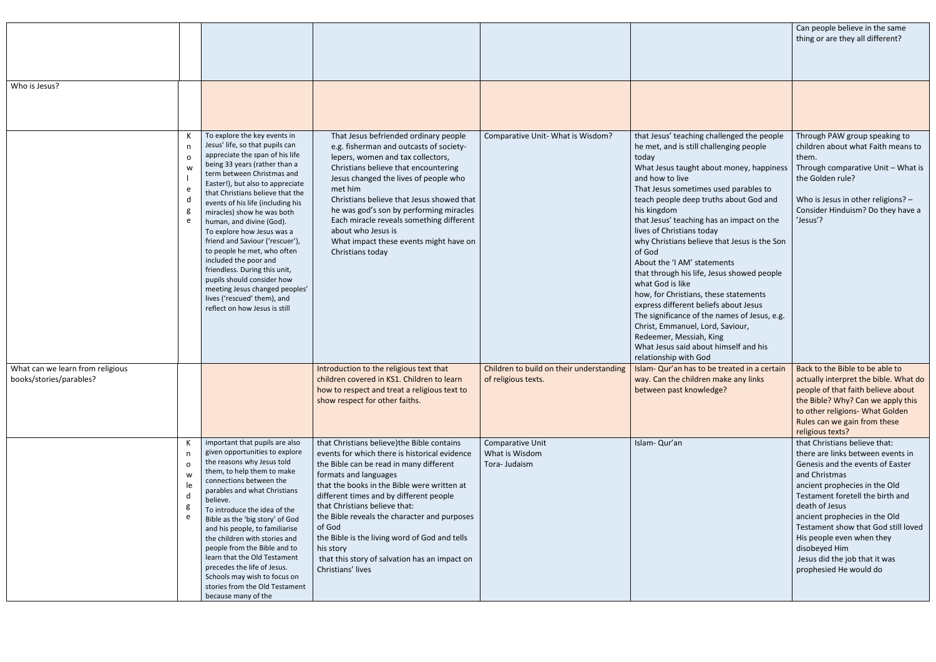|                                                             |                                          |                                                                                                                                                                                                                                                                                                                                                                                                                                                                                                                                                                                                                                    |                                                                                                                                                                                                                                                                                                                                                                                                                                                                                           |                                                                 |                                                                                                                                                                                                                                                                                                                                                                                                                                                                                                                                                                                                                                                                                                                                                                         | Can people believe in the same<br>thing or are they all different?                                                                                                                                                                                                                                                                                                                              |
|-------------------------------------------------------------|------------------------------------------|------------------------------------------------------------------------------------------------------------------------------------------------------------------------------------------------------------------------------------------------------------------------------------------------------------------------------------------------------------------------------------------------------------------------------------------------------------------------------------------------------------------------------------------------------------------------------------------------------------------------------------|-------------------------------------------------------------------------------------------------------------------------------------------------------------------------------------------------------------------------------------------------------------------------------------------------------------------------------------------------------------------------------------------------------------------------------------------------------------------------------------------|-----------------------------------------------------------------|-------------------------------------------------------------------------------------------------------------------------------------------------------------------------------------------------------------------------------------------------------------------------------------------------------------------------------------------------------------------------------------------------------------------------------------------------------------------------------------------------------------------------------------------------------------------------------------------------------------------------------------------------------------------------------------------------------------------------------------------------------------------------|-------------------------------------------------------------------------------------------------------------------------------------------------------------------------------------------------------------------------------------------------------------------------------------------------------------------------------------------------------------------------------------------------|
| Who is Jesus?                                               |                                          |                                                                                                                                                                                                                                                                                                                                                                                                                                                                                                                                                                                                                                    |                                                                                                                                                                                                                                                                                                                                                                                                                                                                                           |                                                                 |                                                                                                                                                                                                                                                                                                                                                                                                                                                                                                                                                                                                                                                                                                                                                                         |                                                                                                                                                                                                                                                                                                                                                                                                 |
|                                                             | n<br>$\Omega$<br>W<br>e<br>d<br>e        | To explore the key events in<br>Jesus' life, so that pupils can<br>appreciate the span of his life<br>being 33 years (rather than a<br>term between Christmas and<br>Easter!), but also to appreciate<br>that Christians believe that the<br>events of his life (including his<br>miracles) show he was both<br>human, and divine (God).<br>To explore how Jesus was a<br>friend and Saviour ('rescuer'),<br>to people he met, who often<br>included the poor and<br>friendless. During this unit,<br>pupils should consider how<br>meeting Jesus changed peoples'<br>lives ('rescued' them), and<br>reflect on how Jesus is still | That Jesus befriended ordinary people<br>e.g. fisherman and outcasts of society-<br>lepers, women and tax collectors,<br>Christians believe that encountering<br>Jesus changed the lives of people who<br>met him<br>Christians believe that Jesus showed that<br>he was god's son by performing miracles<br>Each miracle reveals something different<br>about who Jesus is<br>What impact these events might have on<br>Christians today                                                 | Comparative Unit- What is Wisdom?                               | that Jesus' teaching challenged the people<br>he met, and is still challenging people<br>today<br>What Jesus taught about money, happiness<br>and how to live<br>That Jesus sometimes used parables to<br>teach people deep truths about God and<br>his kingdom<br>that Jesus' teaching has an impact on the<br>lives of Christians today<br>why Christians believe that Jesus is the Son<br>of God<br>About the 'I AM' statements<br>that through his life, Jesus showed people<br>what God is like<br>how, for Christians, these statements<br>express different beliefs about Jesus<br>The significance of the names of Jesus, e.g.<br>Christ, Emmanuel, Lord, Saviour,<br>Redeemer, Messiah, King<br>What Jesus said about himself and his<br>relationship with God | Through PAW group speaking to<br>children about what Faith means to<br>them.<br>Through comparative Unit - What is<br>the Golden rule?<br>Who is Jesus in other religions? -<br>Consider Hinduism? Do they have a<br>'Jesus'?                                                                                                                                                                   |
| What can we learn from religious<br>books/stories/parables? |                                          |                                                                                                                                                                                                                                                                                                                                                                                                                                                                                                                                                                                                                                    | Introduction to the religious text that<br>children covered in KS1. Children to learn<br>how to respect and treat a religious text to<br>show respect for other faiths.                                                                                                                                                                                                                                                                                                                   | Children to build on their understanding<br>of religious texts. | Islam- Qur'an has to be treated in a certain<br>way. Can the children make any links<br>between past knowledge?                                                                                                                                                                                                                                                                                                                                                                                                                                                                                                                                                                                                                                                         | Back to the Bible to be able to<br>actually interpret the bible. What do<br>people of that faith believe about<br>the Bible? Why? Can we apply this<br>to other religions- What Golden<br>Rules can we gain from these<br>religious texts?                                                                                                                                                      |
|                                                             | n,<br>$\Omega$<br>W<br>le<br>d<br>g<br>e | important that pupils are also<br>given opportunities to explore<br>the reasons why Jesus told<br>them, to help them to make<br>connections between the<br>parables and what Christians<br>believe.<br>To introduce the idea of the<br>Bible as the 'big story' of God<br>and his people, to familiarise<br>the children with stories and<br>people from the Bible and to<br>learn that the Old Testament<br>precedes the life of Jesus.<br>Schools may wish to focus on<br>stories from the Old Testament<br>because many of the                                                                                                  | that Christians believe) the Bible contains<br>events for which there is historical evidence<br>the Bible can be read in many different<br>formats and languages<br>that the books in the Bible were written at<br>different times and by different people<br>that Christians believe that:<br>the Bible reveals the character and purposes<br>of God<br>the Bible is the living word of God and tells<br>his story<br>that this story of salvation has an impact on<br>Christians' lives | Comparative Unit<br>What is Wisdom<br>Tora- Judaism             | Islam-Qur'an                                                                                                                                                                                                                                                                                                                                                                                                                                                                                                                                                                                                                                                                                                                                                            | that Christians believe that:<br>there are links between events in<br>Genesis and the events of Easter<br>and Christmas<br>ancient prophecies in the Old<br>Testament foretell the birth and<br>death of Jesus<br>ancient prophecies in the Old<br>Testament show that God still loved<br>His people even when they<br>disobeyed Him<br>Jesus did the job that it was<br>prophesied He would do |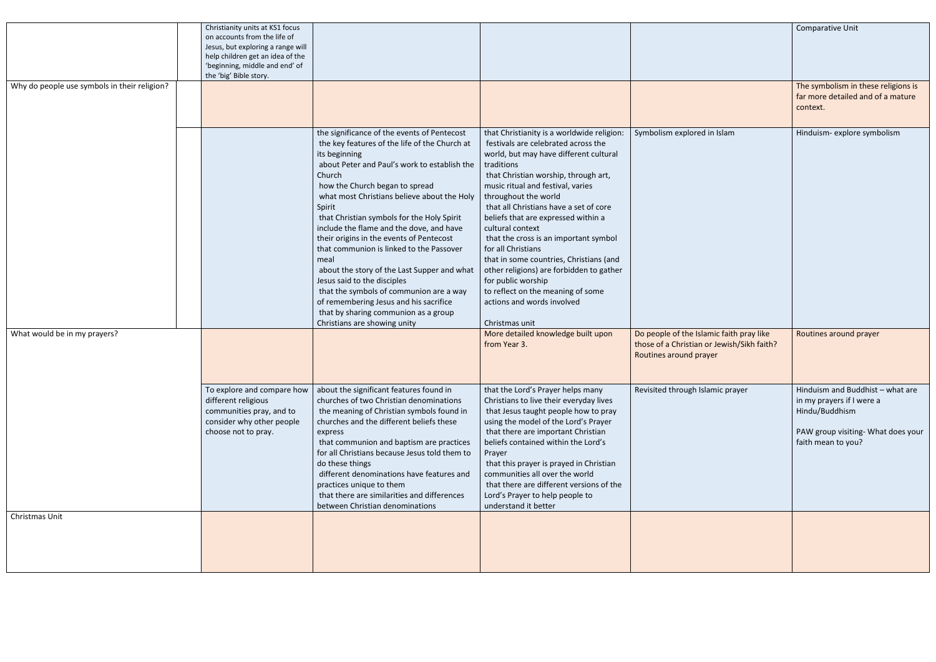| Why do people use symbols in their religion? | Christianity units at KS1 focus<br>on accounts from the life of<br>Jesus, but exploring a range will<br>help children get an idea of the<br>'beginning, middle and end' of<br>the 'big' Bible story. |                                                                                                                                                                                                                                                                                                                                                                                                                                                                                                                                                                                                                                                                                                         |                                                                                                                                                                                                                                                                                                                                                                                                                                                                                                                                                                                                                                                                            |                                                                                                                       | Comparative Unit<br>The symbolism in these religions is<br>far more detailed and of a mature<br>context.                                    |
|----------------------------------------------|------------------------------------------------------------------------------------------------------------------------------------------------------------------------------------------------------|---------------------------------------------------------------------------------------------------------------------------------------------------------------------------------------------------------------------------------------------------------------------------------------------------------------------------------------------------------------------------------------------------------------------------------------------------------------------------------------------------------------------------------------------------------------------------------------------------------------------------------------------------------------------------------------------------------|----------------------------------------------------------------------------------------------------------------------------------------------------------------------------------------------------------------------------------------------------------------------------------------------------------------------------------------------------------------------------------------------------------------------------------------------------------------------------------------------------------------------------------------------------------------------------------------------------------------------------------------------------------------------------|-----------------------------------------------------------------------------------------------------------------------|---------------------------------------------------------------------------------------------------------------------------------------------|
| What would be in my prayers?                 |                                                                                                                                                                                                      | the significance of the events of Pentecost<br>the key features of the life of the Church at<br>its beginning<br>about Peter and Paul's work to establish the<br>Church<br>how the Church began to spread<br>what most Christians believe about the Holy<br>Spirit<br>that Christian symbols for the Holy Spirit<br>include the flame and the dove, and have<br>their origins in the events of Pentecost<br>that communion is linked to the Passover<br>meal<br>about the story of the Last Supper and what<br>Jesus said to the disciples<br>that the symbols of communion are a way<br>of remembering Jesus and his sacrifice<br>that by sharing communion as a group<br>Christians are showing unity | that Christianity is a worldwide religion:<br>festivals are celebrated across the<br>world, but may have different cultural<br>traditions<br>that Christian worship, through art,<br>music ritual and festival, varies<br>throughout the world<br>that all Christians have a set of core<br>beliefs that are expressed within a<br>cultural context<br>that the cross is an important symbol<br>for all Christians<br>that in some countries, Christians (and<br>other religions) are forbidden to gather<br>for public worship<br>to reflect on the meaning of some<br>actions and words involved<br>Christmas unit<br>More detailed knowledge built upon<br>from Year 3. | Symbolism explored in Islam<br>Do people of the Islamic faith pray like<br>those of a Christian or Jewish/Sikh faith? | Hinduism- explore symbolism<br>Routines around prayer                                                                                       |
|                                              |                                                                                                                                                                                                      |                                                                                                                                                                                                                                                                                                                                                                                                                                                                                                                                                                                                                                                                                                         |                                                                                                                                                                                                                                                                                                                                                                                                                                                                                                                                                                                                                                                                            | Routines around prayer                                                                                                |                                                                                                                                             |
|                                              | To explore and compare how<br>different religious<br>communities pray, and to<br>consider why other people<br>choose not to pray.                                                                    | about the significant features found in<br>churches of two Christian denominations<br>the meaning of Christian symbols found in<br>churches and the different beliefs these<br>express<br>that communion and baptism are practices<br>for all Christians because Jesus told them to<br>do these things<br>different denominations have features and<br>practices unique to them<br>that there are similarities and differences<br>between Christian denominations                                                                                                                                                                                                                                       | that the Lord's Prayer helps many<br>Christians to live their everyday lives<br>that Jesus taught people how to pray<br>using the model of the Lord's Prayer<br>that there are important Christian<br>beliefs contained within the Lord's<br>Prayer<br>that this prayer is prayed in Christian<br>communities all over the world<br>that there are different versions of the<br>Lord's Prayer to help people to<br>understand it better                                                                                                                                                                                                                                    | Revisited through Islamic prayer                                                                                      | Hinduism and Buddhist - what are<br>in my prayers if I were a<br>Hindu/Buddhism<br>PAW group visiting- What does your<br>faith mean to you? |
| Christmas Unit                               |                                                                                                                                                                                                      |                                                                                                                                                                                                                                                                                                                                                                                                                                                                                                                                                                                                                                                                                                         |                                                                                                                                                                                                                                                                                                                                                                                                                                                                                                                                                                                                                                                                            |                                                                                                                       |                                                                                                                                             |
|                                              |                                                                                                                                                                                                      |                                                                                                                                                                                                                                                                                                                                                                                                                                                                                                                                                                                                                                                                                                         |                                                                                                                                                                                                                                                                                                                                                                                                                                                                                                                                                                                                                                                                            |                                                                                                                       |                                                                                                                                             |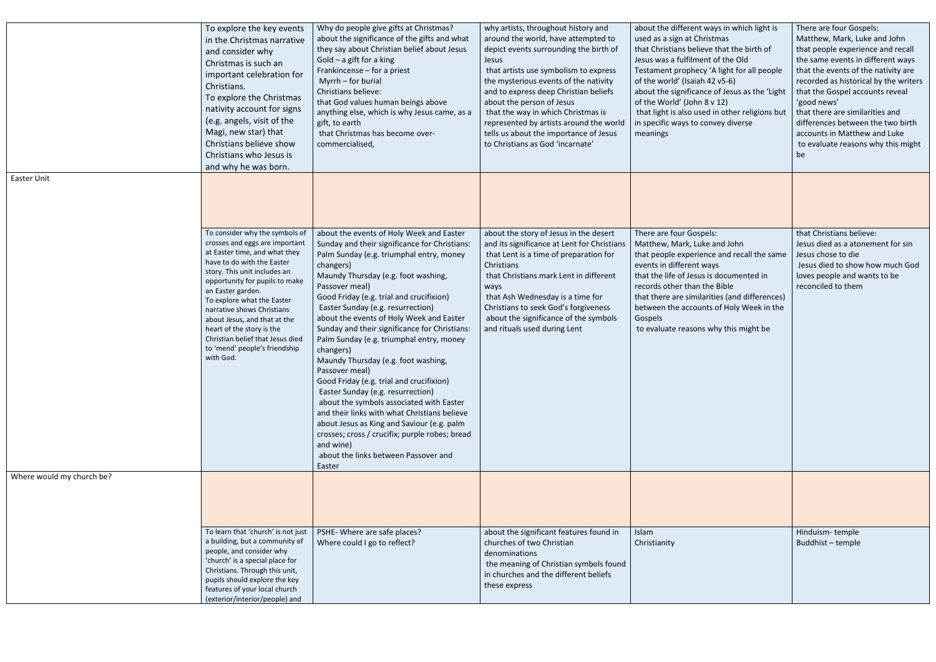|                           | To explore the key events<br>in the Christmas narrative<br>and consider why<br>Christmas is such an<br>important celebration for<br>Christians.<br>To explore the Christmas<br>nativity account for signs<br>(e.g. angels, visit of the<br>Magi, new star) that<br>Christians believe show<br>Christians who Jesus is<br>and why he was born.                                                                                     | Why do people give gifts at Christmas?<br>about the significance of the gifts and what<br>they say about Christian belief about Jesus<br>Gold $-$ a gift for a king<br>Frankincense – for a priest<br>Myrrh - for burial<br>Christians believe:<br>that God values human beings above<br>anything else, which is why Jesus came, as a<br>gift, to earth<br>that Christmas has become over-<br>commercialised,                                                                                                                                                                                                                                                                                                                                                                                                                                           | why artists, throughout history and<br>around the world, have attempted to<br>depict events surrounding the birth of<br>Jesus<br>that artists use symbolism to express<br>the mysterious events of the nativity<br>and to express deep Christian beliefs<br>about the person of Jesus<br>that the way in which Christmas is<br>represented by artists around the world<br>tells us about the importance of Jesus<br>to Christians as God 'incarnate' | about the different ways in which light is<br>used as a sign at Christmas<br>that Christians believe that the birth of<br>Jesus was a fulfilment of the Old<br>Testament prophecy 'A light for all peopl<br>of the world' (Isaiah 42 v5-6)<br>about the significance of Jesus as the 'Lig<br>of the World' (John 8 v 12)<br>that light is also used in other religions b<br>in specific ways to convey diverse<br>meanings |
|---------------------------|-----------------------------------------------------------------------------------------------------------------------------------------------------------------------------------------------------------------------------------------------------------------------------------------------------------------------------------------------------------------------------------------------------------------------------------|---------------------------------------------------------------------------------------------------------------------------------------------------------------------------------------------------------------------------------------------------------------------------------------------------------------------------------------------------------------------------------------------------------------------------------------------------------------------------------------------------------------------------------------------------------------------------------------------------------------------------------------------------------------------------------------------------------------------------------------------------------------------------------------------------------------------------------------------------------|------------------------------------------------------------------------------------------------------------------------------------------------------------------------------------------------------------------------------------------------------------------------------------------------------------------------------------------------------------------------------------------------------------------------------------------------------|----------------------------------------------------------------------------------------------------------------------------------------------------------------------------------------------------------------------------------------------------------------------------------------------------------------------------------------------------------------------------------------------------------------------------|
| Easter Unit               |                                                                                                                                                                                                                                                                                                                                                                                                                                   |                                                                                                                                                                                                                                                                                                                                                                                                                                                                                                                                                                                                                                                                                                                                                                                                                                                         |                                                                                                                                                                                                                                                                                                                                                                                                                                                      |                                                                                                                                                                                                                                                                                                                                                                                                                            |
|                           | To consider why the symbols of<br>crosses and eggs are important<br>at Easter time, and what they<br>have to do with the Easter<br>story. This unit includes an<br>opportunity for pupils to make<br>an Easter garden.<br>To explore what the Easter<br>narrative shows Christians<br>about Jesus, and that at the<br>heart of the story is the<br>Christian belief that Jesus died<br>to 'mend' people's friendship<br>with God. | about the events of Holy Week and Easter<br>Sunday and their significance for Christians:<br>Palm Sunday (e.g. triumphal entry, money<br>changers)<br>Maundy Thursday (e.g. foot washing,<br>Passover meal)<br>Good Friday (e.g. trial and crucifixion)<br>Easter Sunday (e.g. resurrection)<br>about the events of Holy Week and Easter<br>Sunday and their significance for Christians:<br>Palm Sunday (e.g. triumphal entry, money<br>changers)<br>Maundy Thursday (e.g. foot washing,<br>Passover meal)<br>Good Friday (e.g. trial and crucifixion)<br>Easter Sunday (e.g. resurrection)<br>about the symbols associated with Easter<br>and their links with what Christians believe<br>about Jesus as King and Saviour (e.g. palm<br>crosses; cross / crucifix; purple robes; bread<br>and wine)<br>about the links between Passover and<br>Easter | about the story of Jesus in the desert<br>and its significance at Lent for Christians<br>that Lent is a time of preparation for<br>Christians<br>that Christians mark Lent in different<br>ways<br>that Ash Wednesday is a time for<br>Christians to seek God's forgiveness<br>about the significance of the symbols<br>and rituals used during Lent                                                                                                 | There are four Gospels:<br>Matthew, Mark, Luke and John<br>that people experience and recall the sar<br>events in different ways<br>that the life of Jesus is documented in<br>records other than the Bible<br>that there are similarities (and difference<br>between the accounts of Holy Week in th<br>Gospels<br>to evaluate reasons why this might be                                                                  |
| Where would my church be? |                                                                                                                                                                                                                                                                                                                                                                                                                                   |                                                                                                                                                                                                                                                                                                                                                                                                                                                                                                                                                                                                                                                                                                                                                                                                                                                         |                                                                                                                                                                                                                                                                                                                                                                                                                                                      |                                                                                                                                                                                                                                                                                                                                                                                                                            |
|                           |                                                                                                                                                                                                                                                                                                                                                                                                                                   |                                                                                                                                                                                                                                                                                                                                                                                                                                                                                                                                                                                                                                                                                                                                                                                                                                                         |                                                                                                                                                                                                                                                                                                                                                                                                                                                      |                                                                                                                                                                                                                                                                                                                                                                                                                            |
|                           | To learn that 'church' is not just<br>a building, but a community of<br>people, and consider why<br>'church' is a special place for<br>Christians. Through this unit,<br>pupils should explore the key<br>features of your local church<br>(exterior/interior/people) and                                                                                                                                                         | PSHE- Where are safe places?<br>Where could I go to reflect?                                                                                                                                                                                                                                                                                                                                                                                                                                                                                                                                                                                                                                                                                                                                                                                            | about the significant features found in<br>churches of two Christian<br>denominations<br>the meaning of Christian symbols found<br>in churches and the different beliefs<br>these express                                                                                                                                                                                                                                                            | Islam<br>Christianity                                                                                                                                                                                                                                                                                                                                                                                                      |

| about the different ways in which light is<br>used as a sign at Christmas<br>that Christians believe that the birth of<br>Jesus was a fulfilment of the Old<br>Testament prophecy 'A light for all people<br>of the world' (Isaiah 42 v5-6)<br>about the significance of Jesus as the 'Light<br>of the World' (John 8 v 12)<br>that light is also used in other religions but<br>in specific ways to convey diverse<br>meanings | There are four Gospels:<br>Matthew, Mark, Luke and John<br>that people experience and recall<br>the same events in different ways<br>that the events of the nativity are<br>recorded as historical by the writers<br>that the Gospel accounts reveal<br>'good news'<br>that there are similarities and<br>differences between the two birth<br>accounts in Matthew and Luke<br>to evaluate reasons why this might<br>be |
|---------------------------------------------------------------------------------------------------------------------------------------------------------------------------------------------------------------------------------------------------------------------------------------------------------------------------------------------------------------------------------------------------------------------------------|-------------------------------------------------------------------------------------------------------------------------------------------------------------------------------------------------------------------------------------------------------------------------------------------------------------------------------------------------------------------------------------------------------------------------|
| There are four Gospels:<br>Matthew, Mark, Luke and John<br>that people experience and recall the same<br>events in different ways<br>that the life of Jesus is documented in<br>records other than the Bible<br>that there are similarities (and differences)<br>between the accounts of Holy Week in the<br>Gospels<br>to evaluate reasons why this might be                                                                   | that Christians believe:<br>Jesus died as a atonement for sin<br>Jesus chose to die<br>Jesus died to show how much God<br>loves people and wants to be<br>reconciled to them                                                                                                                                                                                                                                            |
|                                                                                                                                                                                                                                                                                                                                                                                                                                 |                                                                                                                                                                                                                                                                                                                                                                                                                         |
| Islam<br>Christianity                                                                                                                                                                                                                                                                                                                                                                                                           | Hinduism-temple<br>Buddhist - temple                                                                                                                                                                                                                                                                                                                                                                                    |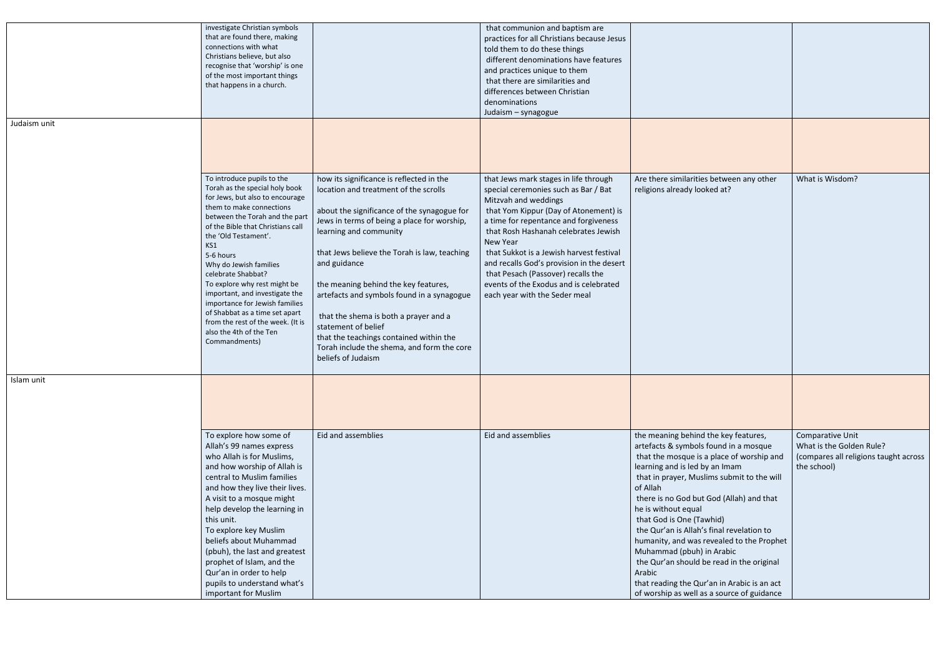| Judaism unit | investigate Christian symbols<br>that are found there, making<br>connections with what<br>Christians believe, but also<br>recognise that 'worship' is one<br>of the most important things<br>that happens in a church.                                                                                                                                                                                                                                                                                                |                                                                                                                                                                                                                                                                                                                                                                                                                                                                                                                                                | that communion and baptism are<br>practices for all Christians because Jesus<br>told them to do these things<br>different denominations have features<br>and practices unique to them<br>that there are similarities and<br>differences between Christian<br>denominations<br>Judaism - synagogue                                                                                                                                                     |                                                                                                                                                                                                                                                                                                                                                                                                                                                                                                                                                                                                  |                                                                                                      |
|--------------|-----------------------------------------------------------------------------------------------------------------------------------------------------------------------------------------------------------------------------------------------------------------------------------------------------------------------------------------------------------------------------------------------------------------------------------------------------------------------------------------------------------------------|------------------------------------------------------------------------------------------------------------------------------------------------------------------------------------------------------------------------------------------------------------------------------------------------------------------------------------------------------------------------------------------------------------------------------------------------------------------------------------------------------------------------------------------------|-------------------------------------------------------------------------------------------------------------------------------------------------------------------------------------------------------------------------------------------------------------------------------------------------------------------------------------------------------------------------------------------------------------------------------------------------------|--------------------------------------------------------------------------------------------------------------------------------------------------------------------------------------------------------------------------------------------------------------------------------------------------------------------------------------------------------------------------------------------------------------------------------------------------------------------------------------------------------------------------------------------------------------------------------------------------|------------------------------------------------------------------------------------------------------|
|              | To introduce pupils to the<br>Torah as the special holy book<br>for Jews, but also to encourage<br>them to make connections<br>between the Torah and the part<br>of the Bible that Christians call<br>the 'Old Testament'.<br>KS1<br>5-6 hours<br>Why do Jewish families<br>celebrate Shabbat?<br>To explore why rest might be<br>important, and investigate the<br>importance for Jewish families<br>of Shabbat as a time set apart<br>from the rest of the week. (It is<br>also the 4th of the Ten<br>Commandments) | how its significance is reflected in the<br>location and treatment of the scrolls<br>about the significance of the synagogue for<br>Jews in terms of being a place for worship,<br>learning and community<br>that Jews believe the Torah is law, teaching<br>and guidance<br>the meaning behind the key features,<br>artefacts and symbols found in a synagogue<br>that the shema is both a prayer and a<br>statement of belief<br>that the teachings contained within the<br>Torah include the shema, and form the core<br>beliefs of Judaism | that Jews mark stages in life through<br>special ceremonies such as Bar / Bat<br>Mitzvah and weddings<br>that Yom Kippur (Day of Atonement) is<br>a time for repentance and forgiveness<br>that Rosh Hashanah celebrates Jewish<br>New Year<br>that Sukkot is a Jewish harvest festival<br>and recalls God's provision in the desert<br>that Pesach (Passover) recalls the<br>events of the Exodus and is celebrated<br>each year with the Seder meal | Are there similarities between any other<br>religions already looked at?                                                                                                                                                                                                                                                                                                                                                                                                                                                                                                                         | What is Wisdom?                                                                                      |
| Islam unit   |                                                                                                                                                                                                                                                                                                                                                                                                                                                                                                                       |                                                                                                                                                                                                                                                                                                                                                                                                                                                                                                                                                |                                                                                                                                                                                                                                                                                                                                                                                                                                                       |                                                                                                                                                                                                                                                                                                                                                                                                                                                                                                                                                                                                  |                                                                                                      |
|              | To explore how some of<br>Allah's 99 names express<br>who Allah is for Muslims,<br>and how worship of Allah is<br>central to Muslim families<br>and how they live their lives.<br>A visit to a mosque might<br>help develop the learning in<br>this unit.<br>To explore key Muslim<br>beliefs about Muhammad<br>(pbuh), the last and greatest<br>prophet of Islam, and the<br>Qur'an in order to help<br>pupils to understand what's<br>important for Muslim                                                          | Eid and assemblies                                                                                                                                                                                                                                                                                                                                                                                                                                                                                                                             | Eid and assemblies                                                                                                                                                                                                                                                                                                                                                                                                                                    | the meaning behind the key features,<br>artefacts & symbols found in a mosque<br>that the mosque is a place of worship and<br>learning and is led by an Imam<br>that in prayer, Muslims submit to the will<br>of Allah<br>there is no God but God (Allah) and that<br>he is without equal<br>that God is One (Tawhid)<br>the Qur'an is Allah's final revelation to<br>humanity, and was revealed to the Prophet<br>Muhammad (pbuh) in Arabic<br>the Qur'an should be read in the original<br>Arabic<br>that reading the Qur'an in Arabic is an act<br>of worship as well as a source of guidance | Comparative Unit<br>What is the Golden Rule?<br>(compares all religions taught across<br>the school) |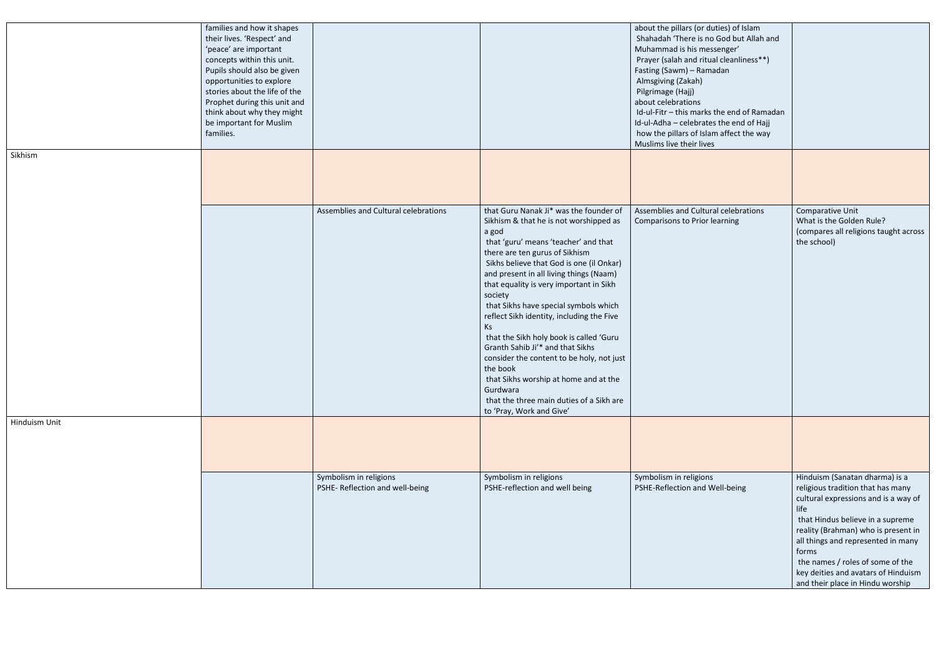|               | families and how it shapes<br>their lives. 'Respect' and<br>'peace' are important<br>concepts within this unit.<br>Pupils should also be given<br>opportunities to explore<br>stories about the life of the<br>Prophet during this unit and<br>think about why they might<br>be important for Muslim<br>families. |                                                           |                                                                                                                                                                                                                                                                                                                                                                                                                                                                                                                                                                                                                                                                                   | about the pillars (or duties) of Islam<br>Shahadah 'There is no God but Allah and<br>Muhammad is his messenger'<br>Prayer (salah and ritual cleanliness**)<br>Fasting (Sawm) - Ramadan<br>Almsgiving (Zakah)<br>Pilgrimage (Hajj)<br>about celebrations<br>Id-ul-Fitr - this marks the end of Ramadan<br>Id-ul-Adha - celebrates the end of Hajj<br>how the pillars of Islam affect the way<br>Muslims live their lives |                                                                                                                                                                                                                                                                                                                                                              |
|---------------|-------------------------------------------------------------------------------------------------------------------------------------------------------------------------------------------------------------------------------------------------------------------------------------------------------------------|-----------------------------------------------------------|-----------------------------------------------------------------------------------------------------------------------------------------------------------------------------------------------------------------------------------------------------------------------------------------------------------------------------------------------------------------------------------------------------------------------------------------------------------------------------------------------------------------------------------------------------------------------------------------------------------------------------------------------------------------------------------|-------------------------------------------------------------------------------------------------------------------------------------------------------------------------------------------------------------------------------------------------------------------------------------------------------------------------------------------------------------------------------------------------------------------------|--------------------------------------------------------------------------------------------------------------------------------------------------------------------------------------------------------------------------------------------------------------------------------------------------------------------------------------------------------------|
| Sikhism       |                                                                                                                                                                                                                                                                                                                   |                                                           |                                                                                                                                                                                                                                                                                                                                                                                                                                                                                                                                                                                                                                                                                   |                                                                                                                                                                                                                                                                                                                                                                                                                         |                                                                                                                                                                                                                                                                                                                                                              |
|               |                                                                                                                                                                                                                                                                                                                   | Assemblies and Cultural celebrations                      | that Guru Nanak Ji* was the founder of<br>Sikhism & that he is not worshipped as<br>a god<br>that 'guru' means 'teacher' and that<br>there are ten gurus of Sikhism<br>Sikhs believe that God is one (il Onkar)<br>and present in all living things (Naam)<br>that equality is very important in Sikh<br>society<br>that Sikhs have special symbols which<br>reflect Sikh identity, including the Five<br>Ks<br>that the Sikh holy book is called 'Guru<br>Granth Sahib Ji'* and that Sikhs<br>consider the content to be holy, not just<br>the book<br>that Sikhs worship at home and at the<br>Gurdwara<br>that the three main duties of a Sikh are<br>to 'Pray, Work and Give' | Assemblies and Cultural celebrations<br>Comparisons to Prior learning                                                                                                                                                                                                                                                                                                                                                   | Comparative Unit<br>What is the Golden Rule?<br>(compares all religions taught across<br>the school)                                                                                                                                                                                                                                                         |
| Hinduism Unit |                                                                                                                                                                                                                                                                                                                   |                                                           |                                                                                                                                                                                                                                                                                                                                                                                                                                                                                                                                                                                                                                                                                   |                                                                                                                                                                                                                                                                                                                                                                                                                         |                                                                                                                                                                                                                                                                                                                                                              |
|               |                                                                                                                                                                                                                                                                                                                   | Symbolism in religions<br>PSHE- Reflection and well-being | Symbolism in religions<br>PSHE-reflection and well being                                                                                                                                                                                                                                                                                                                                                                                                                                                                                                                                                                                                                          | Symbolism in religions<br>PSHE-Reflection and Well-being                                                                                                                                                                                                                                                                                                                                                                | Hinduism (Sanatan dharma) is a<br>religious tradition that has many<br>cultural expressions and is a way of<br>life<br>that Hindus believe in a supreme<br>reality (Brahman) who is present in<br>all things and represented in many<br>forms<br>the names / roles of some of the<br>key deities and avatars of Hinduism<br>and their place in Hindu worship |